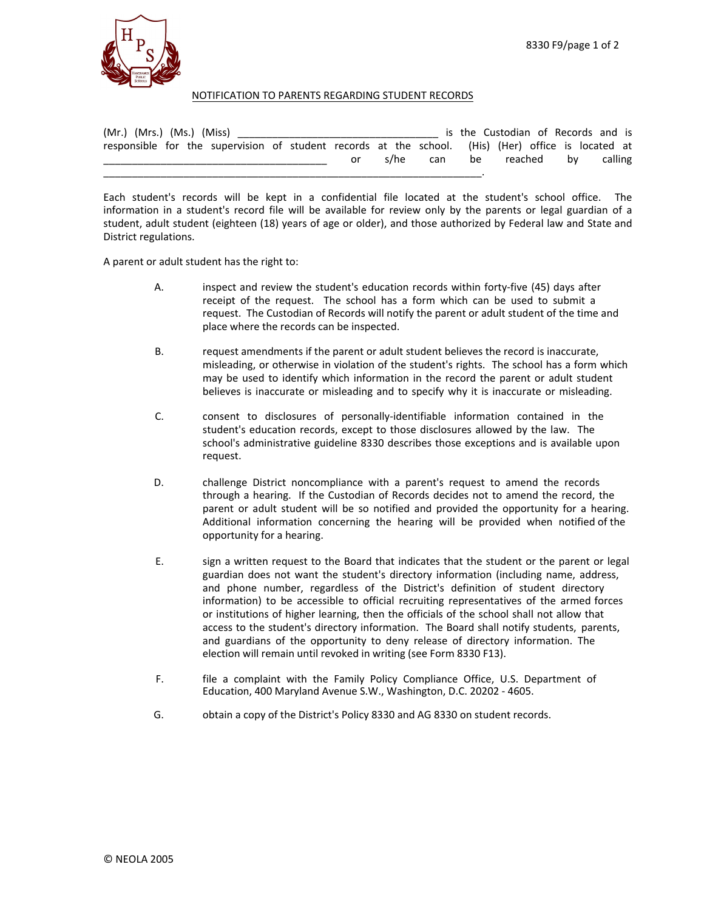

## NOTIFICATION TO PARENTS REGARDING STUDENT RECORDS

| (Mr.) (Mrs.) (Ms.) (Miss) | the contract of the contract of the contract of the contract of the contract of the contract of the contract of |                                                                                                    |  |    | is the Custodian of Records and is |  |     |               |  |  |         |
|---------------------------|-----------------------------------------------------------------------------------------------------------------|----------------------------------------------------------------------------------------------------|--|----|------------------------------------|--|-----|---------------|--|--|---------|
|                           |                                                                                                                 | responsible for the supervision of student records at the school. (His) (Her) office is located at |  |    |                                    |  |     |               |  |  |         |
|                           |                                                                                                                 |                                                                                                    |  | or | s/he                               |  | can | be reached bv |  |  | calling |
|                           |                                                                                                                 |                                                                                                    |  |    |                                    |  |     |               |  |  |         |

Each student's records will be kept in a confidential file located at the student's school office. The information in a student's record file will be available for review only by the parents or legal guardian of a student, adult student (eighteen (18) years of age or older), and those authorized by Federal law and State and District regulations.

A parent or adult student has the right to:

- A. inspect and review the student's education records within forty-five (45) days after receipt of the request. The school has a form which can be used to submit a request. The Custodian of Records will notify the parent or adult student of the time and place where the records can be inspected.
- B. request amendments if the parent or adult student believes the record is inaccurate, misleading, or otherwise in violation of the student's rights. The school has a form which may be used to identify which information in the record the parent or adult student believes is inaccurate or misleading and to specify why it is inaccurate or misleading.
- C. consent to disclosures of personally-identifiable information contained in the student's education records, except to those disclosures allowed by the law. The school's administrative guideline 8330 describes those exceptions and is available upon request.
- D. challenge District noncompliance with a parent's request to amend the records through a hearing. If the Custodian of Records decides not to amend the record, the parent or adult student will be so notified and provided the opportunity for a hearing. Additional information concerning the hearing will be provided when notified of the opportunity for a hearing.
- E. sign a written request to the Board that indicates that the student or the parent or legal guardian does not want the student's directory information (including name, address, and phone number, regardless of the District's definition of student directory information) to be accessible to official recruiting representatives of the armed forces or institutions of higher learning, then the officials of the school shall not allow that access to the student's directory information. The Board shall notify students, parents, and guardians of the opportunity to deny release of directory information. The election will remain until revoked in writing (see Form 8330 F13).
- F. file a complaint with the Family Policy Compliance Office, U.S. Department of Education, 400 Maryland Avenue S.W., Washington, D.C. 20202 - 4605.
- G. obtain a copy of the District's Policy 8330 and AG 8330 on student records.